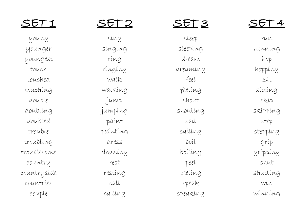young younger youngest touch touched touching double doubling doubled trouble troubling troublesome country countryside countries couple

# SET 2

sing singing ring ringing walk walking jump jumping paint painting dress dressing rest resting call calling

## SET 3

sleep sleeping dream dreaming feel feeling shout shouting sail sailing boil boiling peel peeling speak speaking

# SET 4

run running hop hopping Sit sitting skip skipping step stepping grip gripping shut shutting win winning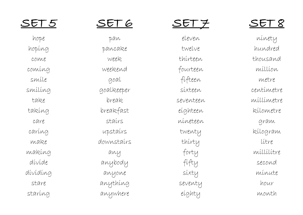hope hoping come coming smile smiling take taking care caring make making divide dividing stare staring

## SET 6

pan pancake week weekend goal goalkeeper break breakfast stairs upstairs downstairs any anybody anyone anything anywhere

# SET 7

eleven twelve thirteen fourteen fifteen sixteen seventeen eighteen nineteen twenty thirty forty fifty sixty seventy eighty

# SET 8

ninety hundred thousand million metre centimetre millimetre kilometre gram kilogram litre millilitre second minute hour month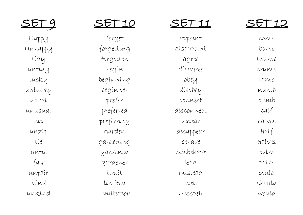SET 9

Happy Unhappy tidy untidy lucky unlucky usual unusual zip unzip tie untie fair unfair kind unkind

## SET 10

forget forgetting forgotten begin beginning beginner prefer preferred preferring garden gardening gardened gardener limit limited Limitation

# SET 11

appoint disappoint agree disagree obey disobey connect disconnect appear disappear behave misbehave lead mislead spell misspell

# SET 12

comb bomb thumb crumb lamb numb climb calf calves half halves calm palm could should would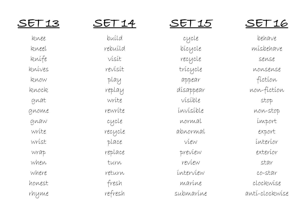| ◢ |  |
|---|--|
|   |  |

knee kneel knife knives know knock gnat gnome gnaw write wrist wrap when where honest rhyme

build rebuild visit revisit play replay write rewrite cycle recycle place replace turn return fresh refresh

### SET 15

cycle bicycle recycle tricycle appear disappear visible invisible normal abnormal view preview review interview marine submarine

# SET 16

behave misbehave sense nonsense fiction non -fiction stop non -stop import export interior exterior star co -star clockwise anti -clockwise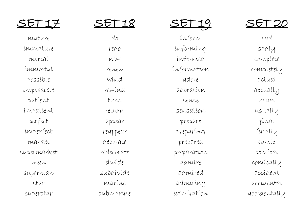mature immature mortal immortal possible impossible patient impatient perfect imperfect market supermarket  $MAN$ superman star superstar

# SET 18

do redo new renew wind rewind turn return appear reappear decorate redecorate divide subdivide marine submarine

SET 19

inform informing informed information adore adoration sense sensation prepare preparing prepared preparation admire admired admiring admiration

### SET 20

sad sadly complete completely actual actually usual usually final finally comic comical comically accident accidental accidentally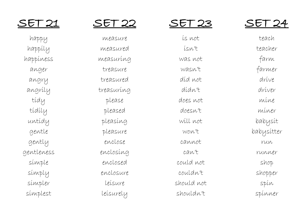happy happily happiness anger angry angrily tidy tidily untidy gentle gently gentleness simple simply simpler simplest

## SET 22

measure measured measuring treasure treasured treasuring please pleased pleasing pleasure enclose enclosing enclosed enclosure leisure leisurely

#### SET 23

is not isn't was not wasn't did not didn't does not doesn't will not won't cannot can't could not couldn't should not shouldn't

### SET 24

teach teacher farm farmer drive driver mine miner babysit babysitter run runner shop shopper spin spinner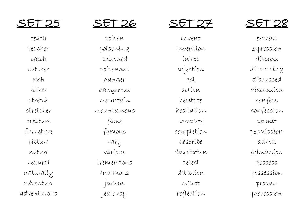teach teacher catch catcher rich richer stretch stretcher creature furniture picture nature natural naturally adventure adventurous

## SET 26

poison poisoning poisoned poisonous danger dangerous mountain mountainous fame famous vary various tremendous enormous jealous jealousy

### SET 27

invent invention inject injection act action hesitate hesitation complete completion describe description detect detection reflect reflection

# SET 28

express expression discuss discussing discussed discussion confess confession permit permission admit admission possess possession process procession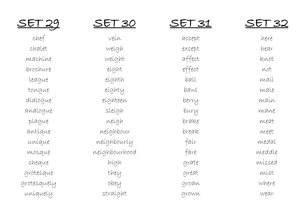SET 29

chef chalet machine brochure league tongue dialogue analogue plague antique unique mosque cheque grotesque grotesquely uniquely

SET 30

vein weigh weight eight eighth eighty eighteen sleigh neigh neighbour neighbourly neighbourhood high they obey straight

#### SET 31

## SET 32

| accept | here   |
|--------|--------|
| except | hear   |
| affect | knot   |
| effect | not    |
| ball   | maíl   |
| bawl   | male   |
| berry  | maín   |
| bury   | mane   |
| brake  | meat   |
| break  | meet   |
| fair   | medal  |
| fare   | meddle |
| grate  | míssed |
| great  | míst   |
| groan  | where  |
| grown  | wear   |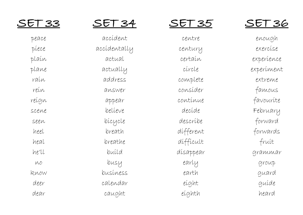| peace |    |
|-------|----|
| piece | aс |
| plaín |    |
| plane |    |
| raín  |    |
| rein  |    |
| reígn |    |
| scene |    |
| seen  |    |
| heel  |    |
| heal  |    |
| he'll |    |
| MO    |    |
| know  |    |
| deer  |    |
| dear  |    |

# SET 34

accident accidentally actual actually address answer appear believe bicycle breath breathe build busy business calendar caught

SET 35

centre century certain circle complete consider continue decide describe different difficult disappear early earth eight eighth

## SET 36

enough exercise experience experiment extreme famous favourite February forward forwards fruit grammar group guard guide heard